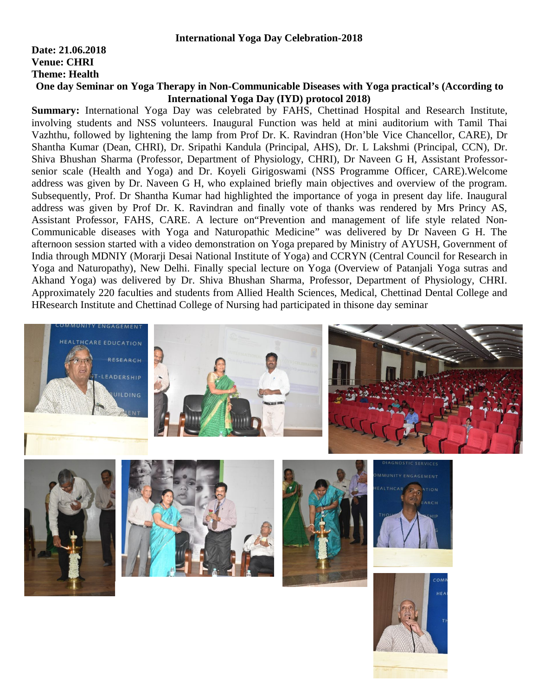## **Date: 21.06.2018 Venue: CHRI Theme: Health**

## **One day Seminar on Yoga Therapy in Non-Communicable Diseases with Yoga practical's (According to International Yoga Day (IYD) protocol 2018)**

**Summary:** International Yoga Day was celebrated by FAHS, Chettinad Hospital and Research Institute, involving students and NSS volunteers. Inaugural Function was held at mini auditorium with Tamil Thai Vazhthu, followed by lightening the lamp from Prof Dr. K. Ravindran (Hon'ble Vice Chancellor, CARE), Dr Shantha Kumar (Dean, CHRI), Dr. Sripathi Kandula (Principal, AHS), Dr. L Lakshmi (Principal, CCN), Dr. Shiva Bhushan Sharma (Professor, Department of Physiology, CHRI), Dr Naveen G H, Assistant Professorsenior scale (Health and Yoga) and Dr. Koyeli Girigoswami (NSS Programme Officer, CARE).Welcome address was given by Dr. Naveen G H, who explained briefly main objectives and overview of the program. Subsequently, Prof. Dr Shantha Kumar had highlighted the importance of yoga in present day life. Inaugural address was given by Prof Dr. K. Ravindran and finally vote of thanks was rendered by Mrs Princy AS, Assistant Professor, FAHS, CARE. A lecture on"Prevention and management of life style related Non-Communicable diseases with Yoga and Naturopathic Medicine" was delivered by Dr Naveen G H. The afternoon session started with a video demonstration on Yoga prepared by Ministry of AYUSH, Government of India through MDNIY (Morarji Desai National Institute of Yoga) and CCRYN (Central Council for Research in Yoga and Naturopathy), New Delhi. Finally special lecture on Yoga (Overview of Patanjali Yoga sutras and Akhand Yoga) was delivered by Dr. Shiva Bhushan Sharma, Professor, Department of Physiology, CHRI. Approximately 220 faculties and students from Allied Health Sciences, Medical, Chettinad Dental College and HResearch Institute and Chettinad College of Nursing had participated in thisone day seminar